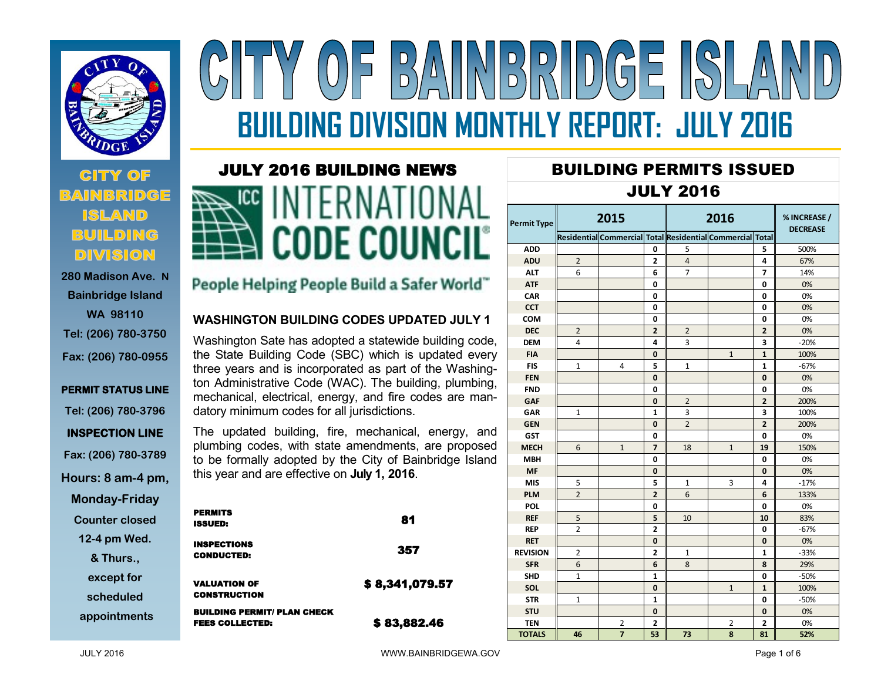

# **CITY OF BUILDING DIVISION**

**280 Madison Ave. N Bainbridge Island WA 98110 Tel: (206) 780-3750 Fax: (206) 780-0955**

## **PERMIT STATUS LINE Tel: (206) 780-3796 INSPECTION LINE Fax: (206) 780-3789 Hours: 8 am-4 pm,**

**Monday-Friday**

**Counter closed** 

**12-4 pm Wed.** 

**& Thurs.,** 

**except for** 

**scheduled**

**appointments**

# $\left|\left|\left|\left|\frac{D}{D}\right|\right|\right|\right|\left|\left|\left|\left|\right|\right|\right|\right|\right|$  $\frac{D}{D}$ **BUILDING DIVISION MONTHLY REPORT: JULY 2016**

### JULY 2016 BUILDING NEWS



#### People Helping People Build a Safer World"

#### **WASHINGTON BUILDING CODES UPDATED JULY 1**

Washington Sate has adopted a statewide building code, the State Building Code (SBC) which is updated every three years and is incorporated as part of the Washington Administrative Code (WAC). The building, plumbing, mechanical, electrical, energy, and fire codes are mandatory minimum codes for all jurisdictions.

The updated building, fire, mechanical, energy, and plumbing codes, with state amendments, are proposed to be formally adopted by the City of Bainbridge Island this year and are effective on **July 1, 2016**.

| <b>PERMITS</b><br>ISSUED:                                    | 81             |
|--------------------------------------------------------------|----------------|
| <b>INSPECTIONS</b><br><b>CONDUCTED:</b>                      | 357            |
| <b>VALUATION OF</b><br><b>CONSTRUCTION</b>                   | \$8,341,079.57 |
| <b>BUILDING PERMIT/ PLAN CHECK</b><br><b>FEES COLLECTED:</b> | \$83,882.46    |

# BUILDING PERMITS ISSUED

#### JULY 2016

| Permit Type     | 2015           |                                                           |                | 2016           |                |                | % INCREASE /<br><b>DECREASE</b> |  |
|-----------------|----------------|-----------------------------------------------------------|----------------|----------------|----------------|----------------|---------------------------------|--|
|                 |                | Residential Commercial Total Residential Commercial Total |                |                |                |                |                                 |  |
| <b>ADD</b>      |                |                                                           | 0              | 5              |                | 5              | 500%                            |  |
| <b>ADU</b>      | $\overline{2}$ |                                                           | $\overline{2}$ | $\overline{4}$ |                | 4              | 67%                             |  |
| <b>ALT</b>      | 6              |                                                           | 6              | 7              |                | 7              | 14%                             |  |
| <b>ATF</b>      |                |                                                           | 0              |                |                | 0              | 0%                              |  |
| CAR             |                |                                                           | 0              |                |                | 0              | 0%                              |  |
| <b>CCT</b>      |                |                                                           | 0              |                |                | 0              | 0%                              |  |
| COM             |                |                                                           | 0              |                |                | 0              | 0%                              |  |
| <b>DEC</b>      | 2              |                                                           | $\overline{2}$ | $\overline{2}$ |                | $\overline{2}$ | 0%                              |  |
| <b>DEM</b>      | 4              |                                                           | 4              | 3              |                | 3              | $-20%$                          |  |
| <b>FIA</b>      |                |                                                           | 0              |                | 1              | 1              | 100%                            |  |
| <b>FIS</b>      | 1              | 4                                                         | 5              | 1              |                | 1              | $-67%$                          |  |
| <b>FEN</b>      |                |                                                           | $\bf{0}$       |                |                | $\bf{0}$       | 0%                              |  |
| <b>FND</b>      |                |                                                           | 0              |                |                | 0              | 0%                              |  |
| <b>GAF</b>      |                |                                                           | 0              | $\overline{2}$ |                | $\overline{2}$ | 200%                            |  |
| <b>GAR</b>      | $\mathbf 1$    |                                                           | 1              | 3              |                | 3              | 100%                            |  |
| <b>GEN</b>      |                |                                                           | 0              | $\overline{2}$ |                | $\overline{2}$ | 200%                            |  |
| <b>GST</b>      |                |                                                           | 0              |                |                | 0              | 0%                              |  |
| <b>MECH</b>     | 6              | $\mathbf{1}$                                              | $\overline{7}$ | 18             | $\mathbf{1}$   | 19             | 150%                            |  |
| <b>MBH</b>      |                |                                                           | 0              |                |                | 0              | 0%                              |  |
| <b>MF</b>       |                |                                                           | 0              |                |                | $\mathbf{0}$   | 0%                              |  |
| <b>MIS</b>      | 5              |                                                           | 5              | 1              | 3              | 4              | $-17%$                          |  |
| <b>PLM</b>      | $\overline{2}$ |                                                           | $\overline{2}$ | 6              |                | 6              | 133%                            |  |
| POL             |                |                                                           | 0              |                |                | 0              | 0%                              |  |
| <b>REF</b>      | 5              |                                                           | 5              | 10             |                | 10             | 83%                             |  |
| <b>REP</b>      | $\overline{2}$ |                                                           | $\overline{2}$ |                |                | 0              | $-67%$                          |  |
| <b>RET</b>      |                |                                                           | $\bf{0}$       |                |                | 0              | 0%                              |  |
| <b>REVISION</b> | 2              |                                                           | $\overline{2}$ | 1              |                | 1              | $-33%$                          |  |
| <b>SFR</b>      | 6              |                                                           | 6              | 8              |                | 8              | 29%                             |  |
| <b>SHD</b>      | 1              |                                                           | 1              |                |                | 0              | $-50%$                          |  |
| <b>SOL</b>      |                |                                                           | 0              |                | $\mathbf{1}$   | 1              | 100%                            |  |
| <b>STR</b>      | 1              |                                                           | 1              |                |                | 0              | $-50%$                          |  |
| <b>STU</b>      |                |                                                           | 0              |                |                | 0              | 0%                              |  |
| <b>TEN</b>      |                | $\overline{2}$                                            | $\overline{2}$ |                | $\overline{2}$ | 2              | 0%                              |  |
| <b>TOTALS</b>   | 46             | $\overline{7}$                                            | 53             | 73             | 8              | 81             | 52%                             |  |
|                 |                |                                                           |                |                |                |                |                                 |  |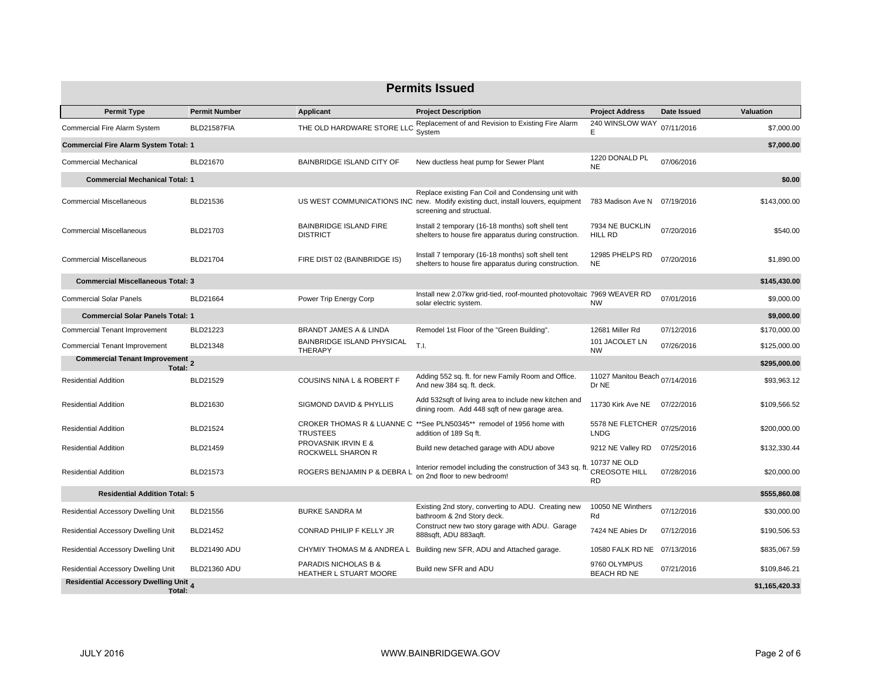| <b>Permits Issued</b>                            |                      |                                                  |                                                                                                                                                                    |                                                   |             |                |  |  |
|--------------------------------------------------|----------------------|--------------------------------------------------|--------------------------------------------------------------------------------------------------------------------------------------------------------------------|---------------------------------------------------|-------------|----------------|--|--|
| <b>Permit Type</b>                               | <b>Permit Number</b> | <b>Applicant</b>                                 | <b>Project Description</b>                                                                                                                                         | <b>Project Address</b>                            | Date Issued | Valuation      |  |  |
| Commercial Fire Alarm System                     | BLD21587FIA          | THE OLD HARDWARE STORE LLC                       | Replacement of and Revision to Existing Fire Alarm<br>System                                                                                                       | 240 WINSLOW WAY<br>E                              | 07/11/2016  | \$7,000.00     |  |  |
| <b>Commercial Fire Alarm System Total: 1</b>     |                      |                                                  |                                                                                                                                                                    |                                                   |             | \$7,000.00     |  |  |
| <b>Commercial Mechanical</b>                     | BLD21670             | <b>BAINBRIDGE ISLAND CITY OF</b>                 | New ductless heat pump for Sewer Plant                                                                                                                             | 1220 DONALD PL<br><b>NE</b>                       | 07/06/2016  |                |  |  |
| <b>Commercial Mechanical Total: 1</b>            |                      |                                                  |                                                                                                                                                                    |                                                   |             | \$0.00         |  |  |
| <b>Commercial Miscellaneous</b>                  | BLD21536             |                                                  | Replace existing Fan Coil and Condensing unit with<br>US WEST COMMUNICATIONS INC new. Modify existing duct, install louvers, equipment<br>screening and structual. | 783 Madison Ave N                                 | 07/19/2016  | \$143,000.00   |  |  |
| <b>Commercial Miscellaneous</b>                  | BLD21703             | <b>BAINBRIDGE ISLAND FIRE</b><br><b>DISTRICT</b> | Install 2 temporary (16-18 months) soft shell tent<br>shelters to house fire apparatus during construction.                                                        | 7934 NE BUCKLIN<br><b>HILL RD</b>                 | 07/20/2016  | \$540.00       |  |  |
| <b>Commercial Miscellaneous</b>                  | <b>BLD21704</b>      | FIRE DIST 02 (BAINBRIDGE IS)                     | Install 7 temporary (16-18 months) soft shell tent<br>shelters to house fire apparatus during construction.                                                        | 12985 PHELPS RD<br><b>NE</b>                      | 07/20/2016  | \$1.890.00     |  |  |
| <b>Commercial Miscellaneous Total: 3</b>         |                      |                                                  |                                                                                                                                                                    |                                                   |             | \$145,430.00   |  |  |
| <b>Commercial Solar Panels</b>                   | BLD21664             | Power Trip Energy Corp                           | Install new 2.07kw grid-tied, roof-mounted photovoltaic 7969 WEAVER RD<br>solar electric system.                                                                   | <b>NW</b>                                         | 07/01/2016  | \$9,000.00     |  |  |
| <b>Commercial Solar Panels Total: 1</b>          |                      |                                                  |                                                                                                                                                                    |                                                   |             | \$9,000.00     |  |  |
| <b>Commercial Tenant Improvement</b>             | BLD21223             | BRANDT JAMES A & LINDA                           | Remodel 1st Floor of the "Green Building".                                                                                                                         | 12681 Miller Rd                                   | 07/12/2016  | \$170,000.00   |  |  |
| <b>Commercial Tenant Improvement</b>             | BLD21348             | BAINBRIDGE ISLAND PHYSICAL<br><b>THERAPY</b>     | T.I.                                                                                                                                                               | 101 JACOLET LN<br><b>NW</b>                       | 07/26/2016  | \$125,000.00   |  |  |
| <b>Commercial Tenant Improvement 2</b><br>Total: |                      |                                                  |                                                                                                                                                                    |                                                   |             | \$295,000.00   |  |  |
| <b>Residential Addition</b>                      | BLD21529             | COUSINS NINA L & ROBERT F                        | Adding 552 sq. ft. for new Family Room and Office.<br>And new 384 sq. ft. deck.                                                                                    | 11027 Manitou Beach 07/14/2016<br>Dr NE           |             | \$93,963.12    |  |  |
| <b>Residential Addition</b>                      | BLD21630             | SIGMOND DAVID & PHYLLIS                          | Add 532sqft of living area to include new kitchen and<br>dining room. Add 448 sqft of new garage area.                                                             | 11730 Kirk Ave NE                                 | 07/22/2016  | \$109,566.52   |  |  |
| <b>Residential Addition</b>                      | <b>BLD21524</b>      | <b>TRUSTEES</b>                                  | CROKER THOMAS R & LUANNE C ** See PLN50345** remodel of 1956 home with<br>addition of 189 Sq ft.                                                                   | 5578 NE FLETCHER<br><b>LNDG</b>                   | 07/25/2016  | \$200,000,00   |  |  |
| <b>Residential Addition</b>                      | BLD21459             | PROVASNIK IRVIN E &<br>ROCKWELL SHARON R         | Build new detached garage with ADU above                                                                                                                           | 9212 NE Valley RD                                 | 07/25/2016  | \$132,330.44   |  |  |
| <b>Residential Addition</b>                      | <b>BLD21573</b>      | ROGERS BENJAMIN P & DEBRA L                      | Interior remodel including the construction of 343 sq. ft.<br>on 2nd floor to new bedroom!                                                                         | 10737 NE OLD<br><b>CREOSOTE HILL</b><br><b>RD</b> | 07/28/2016  | \$20,000.00    |  |  |
| <b>Residential Addition Total: 5</b>             |                      |                                                  |                                                                                                                                                                    |                                                   |             | \$555,860.08   |  |  |
| <b>Residential Accessory Dwelling Unit</b>       | BLD21556             | <b>BURKE SANDRA M</b>                            | Existing 2nd story, converting to ADU. Creating new<br>bathroom & 2nd Story deck.                                                                                  | 10050 NE Winthers<br>Rd                           | 07/12/2016  | \$30,000.00    |  |  |
| Residential Accessory Dwelling Unit              | BLD21452             | CONRAD PHILIP F KELLY JR                         | Construct new two story garage with ADU. Garage<br>888sqft, ADU 883aqft.                                                                                           | 7424 NE Abies Dr                                  | 07/12/2016  | \$190,506.53   |  |  |
| Residential Accessory Dwelling Unit              | <b>BLD21490 ADU</b>  | CHYMIY THOMAS M & ANDREA L                       | Building new SFR, ADU and Attached garage.                                                                                                                         | 10580 FALK RD NE 07/13/2016                       |             | \$835,067.59   |  |  |
| Residential Accessory Dwelling Unit              | <b>BLD21360 ADU</b>  | PARADIS NICHOLAS B &<br>HEATHER L STUART MOORE   | Build new SFR and ADU                                                                                                                                              | 9760 OLYMPUS<br>BEACH RD NE                       | 07/21/2016  | \$109,846.21   |  |  |
| Residential Accessory Dwelling Unit 4<br>Total:  |                      |                                                  |                                                                                                                                                                    |                                                   |             | \$1,165,420.33 |  |  |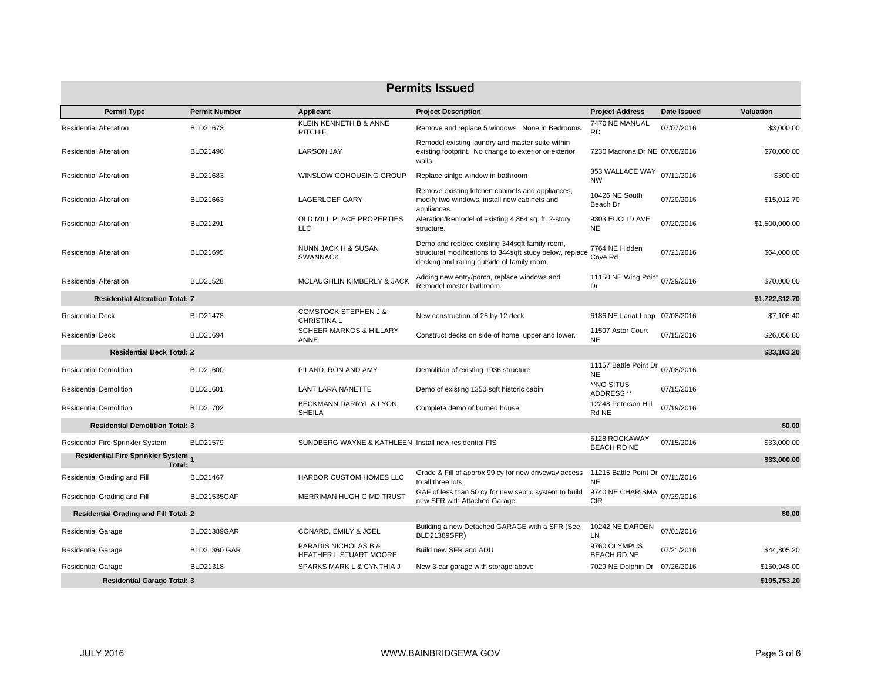| <b>Permits Issued</b>                         |                      |                                                       |                                                                                                                                                           |                                           |             |                |  |  |
|-----------------------------------------------|----------------------|-------------------------------------------------------|-----------------------------------------------------------------------------------------------------------------------------------------------------------|-------------------------------------------|-------------|----------------|--|--|
| <b>Permit Type</b>                            | <b>Permit Number</b> | Applicant                                             | <b>Project Description</b>                                                                                                                                | <b>Project Address</b>                    | Date Issued | Valuation      |  |  |
| <b>Residential Alteration</b>                 | BLD21673             | KLEIN KENNETH B & ANNE<br><b>RITCHIE</b>              | Remove and replace 5 windows. None in Bedrooms.                                                                                                           | 7470 NE MANUAL<br><b>RD</b>               | 07/07/2016  | \$3,000.00     |  |  |
| <b>Residential Alteration</b>                 | BLD21496             | <b>LARSON JAY</b>                                     | Remodel existing laundry and master suite within<br>existing footprint. No change to exterior or exterior<br>walls.                                       | 7230 Madrona Dr NE 07/08/2016             |             | \$70,000.00    |  |  |
| <b>Residential Alteration</b>                 | BLD21683             | WINSLOW COHOUSING GROUP                               | Replace sinige window in bathroom                                                                                                                         | 353 WALLACE WAY<br><b>NW</b>              | 07/11/2016  | \$300.00       |  |  |
| <b>Residential Alteration</b>                 | BLD21663             | <b>LAGERLOEF GARY</b>                                 | Remove existing kitchen cabinets and appliances,<br>modify two windows, install new cabinets and<br>appliances.                                           | 10426 NE South<br>Beach Dr                | 07/20/2016  | \$15,012.70    |  |  |
| <b>Residential Alteration</b>                 | BLD21291             | OLD MILL PLACE PROPERTIES<br><b>LLC</b>               | Aleration/Remodel of existing 4,864 sq. ft. 2-story<br>structure.                                                                                         | 9303 EUCLID AVE<br><b>NE</b>              | 07/20/2016  | \$1,500,000.00 |  |  |
| <b>Residential Alteration</b>                 | BLD21695             | NUNN JACK H & SUSAN<br><b>SWANNACK</b>                | Demo and replace existing 344sqft family room,<br>structural modifications to 344sqft study below, replace<br>decking and railing outside of family room. | 7764 NE Hidden<br>Cove Rd                 | 07/21/2016  | \$64,000.00    |  |  |
| <b>Residential Alteration</b>                 | BLD21528             | MCLAUGHLIN KIMBERLY & JACK                            | Adding new entry/porch, replace windows and<br>Remodel master bathroom.                                                                                   | 11150 NE Wing Point 07/29/2016<br>Dr      |             | \$70,000.00    |  |  |
| <b>Residential Alteration Total: 7</b>        |                      |                                                       |                                                                                                                                                           |                                           |             | \$1,722,312.70 |  |  |
| <b>Residential Deck</b>                       | BLD21478             | <b>COMSTOCK STEPHEN J &amp;</b><br><b>CHRISTINA L</b> | New construction of 28 by 12 deck                                                                                                                         | 6186 NE Lariat Loop 07/08/2016            |             | \$7,106.40     |  |  |
| <b>Residential Deck</b>                       | BLD21694             | <b>SCHEER MARKOS &amp; HILLARY</b><br>ANNE            | Construct decks on side of home, upper and lower.                                                                                                         | 11507 Astor Court<br><b>NE</b>            | 07/15/2016  | \$26,056.80    |  |  |
| <b>Residential Deck Total: 2</b>              |                      |                                                       |                                                                                                                                                           |                                           |             | \$33,163.20    |  |  |
| <b>Residential Demolition</b>                 | BLD21600             | PILAND, RON AND AMY                                   | Demolition of existing 1936 structure                                                                                                                     | 11157 Battle Point Dr<br><b>NE</b>        | 07/08/2016  |                |  |  |
| <b>Residential Demolition</b>                 | BLD21601             | <b>LANT LARA NANETTE</b>                              | Demo of existing 1350 sqft historic cabin                                                                                                                 | **NO SITUS<br>ADDRESS **                  | 07/15/2016  |                |  |  |
| <b>Residential Demolition</b>                 | BLD21702             | BECKMANN DARRYL & LYON<br><b>SHEILA</b>               | Complete demo of burned house                                                                                                                             | 12248 Peterson Hill<br>Rd NE              | 07/19/2016  |                |  |  |
| <b>Residential Demolition Total: 3</b>        |                      |                                                       |                                                                                                                                                           |                                           |             | \$0.00         |  |  |
| <b>Residential Fire Sprinkler System</b>      | BLD21579             | SUNDBERG WAYNE & KATHLEEN Install new residential FIS |                                                                                                                                                           | 5128 ROCKAWAY<br><b>BEACH RD NE</b>       | 07/15/2016  | \$33,000.00    |  |  |
| Residential Fire Sprinkler System 1<br>Total: |                      |                                                       |                                                                                                                                                           |                                           |             | \$33,000.00    |  |  |
| Residential Grading and Fill                  | <b>BLD21467</b>      | HARBOR CUSTOM HOMES LLC                               | Grade & Fill of approx 99 cy for new driveway access<br>to all three lots.                                                                                | 11215 Battle Point Dr 07/11/2016<br>NE    |             |                |  |  |
| Residential Grading and Fill                  | <b>BLD21535GAF</b>   | MERRIMAN HUGH G MD TRUST                              | GAF of less than 50 cy for new septic system to build<br>new SFR with Attached Garage.                                                                    | 9740 NE CHARISMA 07/29/2016<br><b>CIR</b> |             |                |  |  |
| <b>Residential Grading and Fill Total: 2</b>  |                      |                                                       |                                                                                                                                                           |                                           |             | \$0.00         |  |  |
| <b>Residential Garage</b>                     | BLD21389GAR          | CONARD, EMILY & JOEL                                  | Building a new Detached GARAGE with a SFR (See<br>BLD21389SFR)                                                                                            | 10242 NE DARDEN<br>LN                     | 07/01/2016  |                |  |  |
| <b>Residential Garage</b>                     | <b>BLD21360 GAR</b>  | PARADIS NICHOLAS B &<br>HEATHER L STUART MOORE        | Build new SFR and ADU                                                                                                                                     | 9760 OLYMPUS<br><b>BEACH RD NE</b>        | 07/21/2016  | \$44,805.20    |  |  |
| <b>Residential Garage</b>                     | BLD21318             | SPARKS MARK L & CYNTHIA J                             | New 3-car garage with storage above                                                                                                                       | 7029 NE Dolphin Dr 07/26/2016             |             | \$150,948.00   |  |  |
| <b>Residential Garage Total: 3</b>            |                      |                                                       |                                                                                                                                                           |                                           |             | \$195.753.20   |  |  |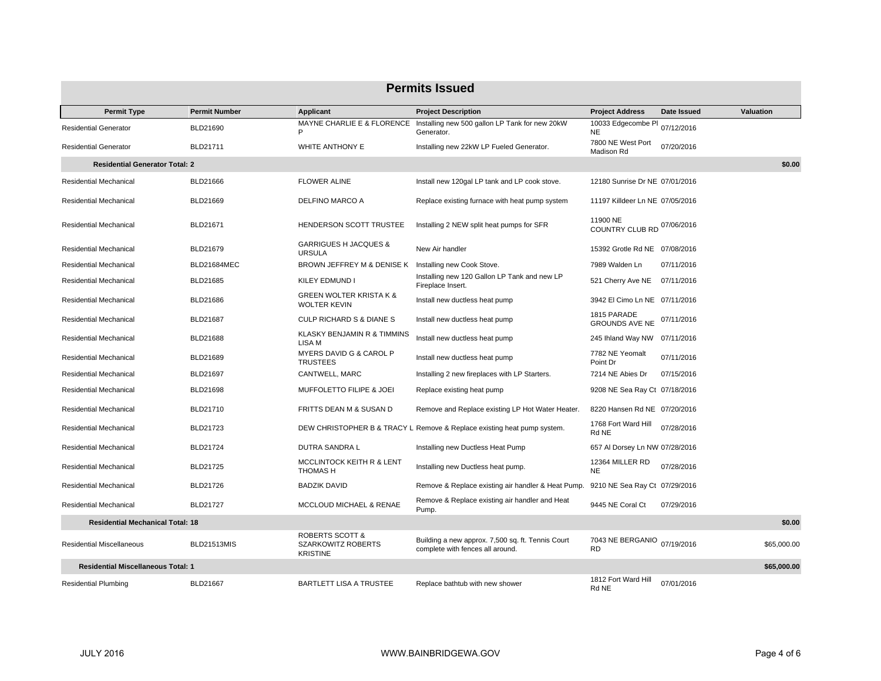| <b>Permits Issued</b>                     |                      |                                                                     |                                                                                         |                                        |             |                  |  |  |
|-------------------------------------------|----------------------|---------------------------------------------------------------------|-----------------------------------------------------------------------------------------|----------------------------------------|-------------|------------------|--|--|
| <b>Permit Type</b>                        | <b>Permit Number</b> | Applicant                                                           | <b>Project Description</b>                                                              | <b>Project Address</b>                 | Date Issued | <b>Valuation</b> |  |  |
| <b>Residential Generator</b>              | BLD21690             |                                                                     | MAYNE CHARLIE E & FLORENCE Installing new 500 gallon LP Tank for new 20kW<br>Generator. | 10033 Edgecombe PI<br><b>NE</b>        | 07/12/2016  |                  |  |  |
| <b>Residential Generator</b>              | BLD21711             | WHITE ANTHONY E                                                     | Installing new 22kW LP Fueled Generator.                                                | 7800 NE West Port<br>Madison Rd        | 07/20/2016  |                  |  |  |
| <b>Residential Generator Total: 2</b>     |                      |                                                                     |                                                                                         |                                        |             | \$0.00           |  |  |
| <b>Residential Mechanical</b>             | BLD21666             | <b>FLOWER ALINE</b>                                                 | Install new 120gal LP tank and LP cook stove.                                           | 12180 Sunrise Dr NE 07/01/2016         |             |                  |  |  |
| <b>Residential Mechanical</b>             | BLD21669             | DELFINO MARCO A                                                     | Replace existing furnace with heat pump system                                          | 11197 Killdeer Ln NE 07/05/2016        |             |                  |  |  |
| Residential Mechanical                    | BLD21671             | HENDERSON SCOTT TRUSTEE                                             | Installing 2 NEW split heat pumps for SFR                                               | 11900 NE<br>COUNTRY CLUB RD 07/06/2016 |             |                  |  |  |
| <b>Residential Mechanical</b>             | BLD21679             | <b>GARRIGUES H JACQUES &amp;</b><br><b>URSULA</b>                   | New Air handler                                                                         | 15392 Grotle Rd NE 07/08/2016          |             |                  |  |  |
| Residential Mechanical                    | BLD21684MEC          | BROWN JEFFREY M & DENISE K Installing new Cook Stove.               |                                                                                         | 7989 Walden Ln                         | 07/11/2016  |                  |  |  |
| <b>Residential Mechanical</b>             | BLD21685             | KILEY EDMUND I                                                      | Installing new 120 Gallon LP Tank and new LP<br>Fireplace Insert.                       | 521 Cherry Ave NE 07/11/2016           |             |                  |  |  |
| <b>Residential Mechanical</b>             | BLD21686             | <b>GREEN WOLTER KRISTA K &amp;</b><br><b>WOLTER KEVIN</b>           | Install new ductless heat pump                                                          | 3942 El Cimo Ln NE 07/11/2016          |             |                  |  |  |
| Residential Mechanical                    | <b>BLD21687</b>      | <b>CULP RICHARD S &amp; DIANE S</b>                                 | Install new ductless heat pump                                                          | 1815 PARADE<br><b>GROUNDS AVE NE</b>   | 07/11/2016  |                  |  |  |
| <b>Residential Mechanical</b>             | <b>BLD21688</b>      | KLASKY BENJAMIN R & TIMMINS<br>LISA M                               | Install new ductless heat pump                                                          | 245 Ihland Way NW 07/11/2016           |             |                  |  |  |
| <b>Residential Mechanical</b>             | <b>BLD21689</b>      | MYERS DAVID G & CAROL P<br><b>TRUSTEES</b>                          | Install new ductless heat pump                                                          | 7782 NE Yeomalt<br>Point Dr            | 07/11/2016  |                  |  |  |
| Residential Mechanical                    | BLD21697             | CANTWELL, MARC                                                      | Installing 2 new fireplaces with LP Starters.                                           | 7214 NE Abies Dr                       | 07/15/2016  |                  |  |  |
| Residential Mechanical                    | <b>BLD21698</b>      | MUFFOLETTO FILIPE & JOEI                                            | Replace existing heat pump                                                              | 9208 NE Sea Ray Ct 07/18/2016          |             |                  |  |  |
| <b>Residential Mechanical</b>             | BLD21710             | FRITTS DEAN M & SUSAN D                                             | Remove and Replace existing LP Hot Water Heater.                                        | 8220 Hansen Rd NE 07/20/2016           |             |                  |  |  |
| Residential Mechanical                    | BLD21723             |                                                                     | DEW CHRISTOPHER B & TRACY L Remove & Replace existing heat pump system.                 | 1768 Fort Ward Hill<br>Rd NE           | 07/28/2016  |                  |  |  |
| Residential Mechanical                    | <b>BLD21724</b>      | DUTRA SANDRA L                                                      | Installing new Ductless Heat Pump                                                       | 657 Al Dorsey Ln NW 07/28/2016         |             |                  |  |  |
| <b>Residential Mechanical</b>             | <b>BLD21725</b>      | <b>MCCLINTOCK KEITH R &amp; LENT</b><br><b>THOMASH</b>              | Installing new Ductless heat pump.                                                      | 12364 MILLER RD<br><b>NE</b>           | 07/28/2016  |                  |  |  |
| Residential Mechanical                    | BLD21726             | <b>BADZIK DAVID</b>                                                 | Remove & Replace existing air handler & Heat Pump.                                      | 9210 NE Sea Ray Ct 07/29/2016          |             |                  |  |  |
| <b>Residential Mechanical</b>             | <b>BLD21727</b>      | MCCLOUD MICHAEL & RENAE                                             | Remove & Replace existing air handler and Heat<br>Pump.                                 | 9445 NE Coral Ct                       | 07/29/2016  |                  |  |  |
| <b>Residential Mechanical Total: 18</b>   |                      |                                                                     |                                                                                         |                                        |             | \$0.00           |  |  |
| <b>Residential Miscellaneous</b>          | <b>BLD21513MIS</b>   | <b>ROBERTS SCOTT &amp;</b><br>SZARKOWITZ ROBERTS<br><b>KRISTINE</b> | Building a new approx. 7,500 sq. ft. Tennis Court<br>complete with fences all around.   | 7043 NE BERGANIO<br><b>RD</b>          | 07/19/2016  | \$65,000.00      |  |  |
| <b>Residential Miscellaneous Total: 1</b> |                      |                                                                     |                                                                                         |                                        |             | \$65,000.00      |  |  |
| <b>Residential Plumbing</b>               | BLD21667             | <b>BARTLETT LISA A TRUSTEE</b>                                      | Replace bathtub with new shower                                                         | 1812 Fort Ward Hill<br>Rd NE           | 07/01/2016  |                  |  |  |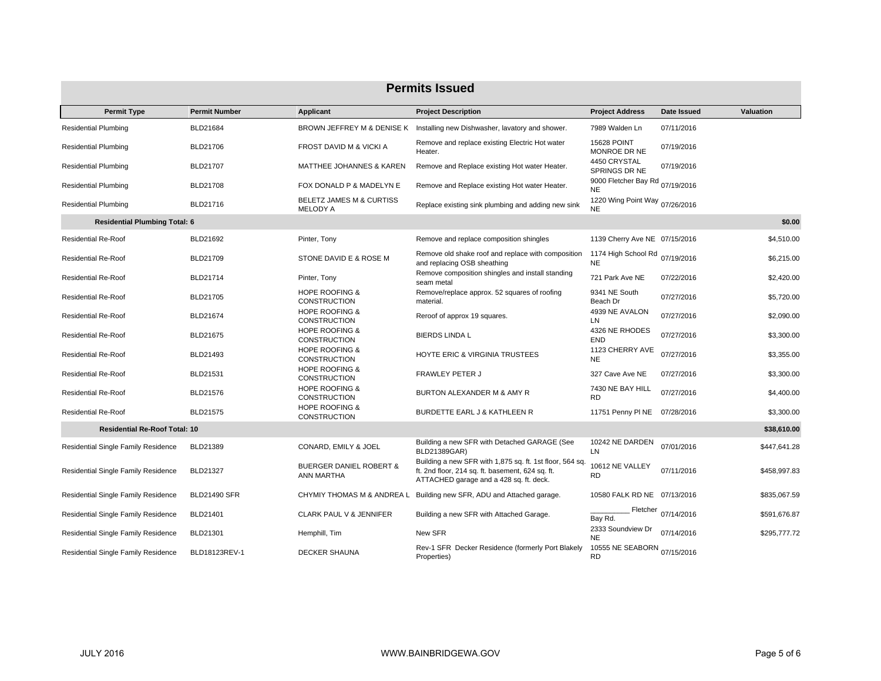| <b>Permits Issued</b>                |                      |                                                  |                                                                                                                                                         |                                              |             |                  |  |  |
|--------------------------------------|----------------------|--------------------------------------------------|---------------------------------------------------------------------------------------------------------------------------------------------------------|----------------------------------------------|-------------|------------------|--|--|
| <b>Permit Type</b>                   | <b>Permit Number</b> | Applicant                                        | <b>Project Description</b>                                                                                                                              | <b>Project Address</b>                       | Date Issued | <b>Valuation</b> |  |  |
| <b>Residential Plumbing</b>          | BLD21684             |                                                  | BROWN JEFFREY M & DENISE K Installing new Dishwasher, lavatory and shower.                                                                              | 7989 Walden Ln                               | 07/11/2016  |                  |  |  |
| <b>Residential Plumbing</b>          | BLD21706             | FROST DAVID M & VICKI A                          | Remove and replace existing Electric Hot water<br>Heater.                                                                                               | <b>15628 POINT</b><br>MONROE DR NE           | 07/19/2016  |                  |  |  |
| <b>Residential Plumbing</b>          | BLD21707             | MATTHEE JOHANNES & KAREN                         | Remove and Replace existing Hot water Heater.                                                                                                           | 4450 CRYSTAL<br>SPRINGS DR NE                | 07/19/2016  |                  |  |  |
| <b>Residential Plumbing</b>          | BLD21708             | FOX DONALD P & MADELYN E                         | Remove and Replace existing Hot water Heater.                                                                                                           | 9000 Fletcher Bay Rd 07/19/2016<br><b>NE</b> |             |                  |  |  |
| <b>Residential Plumbing</b>          | BLD21716             | BELETZ JAMES M & CURTISS<br><b>MELODY A</b>      | Replace existing sink plumbing and adding new sink                                                                                                      | 1220 Wing Point Way 07/26/2016<br><b>NE</b>  |             |                  |  |  |
| <b>Residential Plumbing Total: 6</b> |                      |                                                  |                                                                                                                                                         |                                              |             | \$0.00           |  |  |
| <b>Residential Re-Roof</b>           | BLD21692             | Pinter, Tony                                     | Remove and replace composition shingles                                                                                                                 | 1139 Cherry Ave NE 07/15/2016                |             | \$4,510.00       |  |  |
| <b>Residential Re-Roof</b>           | BLD21709             | STONE DAVID E & ROSE M                           | Remove old shake roof and replace with composition<br>and replacing OSB sheathing                                                                       | 1174 High School Rd<br><b>NE</b>             | 07/19/2016  | \$6,215.00       |  |  |
| <b>Residential Re-Roof</b>           | BLD21714             | Pinter, Tony                                     | Remove composition shingles and install standing<br>seam metal                                                                                          | 721 Park Ave NE                              | 07/22/2016  | \$2,420.00       |  |  |
| <b>Residential Re-Roof</b>           | BLD21705             | <b>HOPE ROOFING &amp;</b><br><b>CONSTRUCTION</b> | Remove/replace approx. 52 squares of roofing<br>material.                                                                                               | 9341 NE South<br>Beach Dr                    | 07/27/2016  | \$5,720.00       |  |  |
| <b>Residential Re-Roof</b>           | BLD21674             | <b>HOPE ROOFING &amp;</b><br><b>CONSTRUCTION</b> | Reroof of approx 19 squares.                                                                                                                            | 4939 NE AVALON<br>LN                         | 07/27/2016  | \$2,090.00       |  |  |
| <b>Residential Re-Roof</b>           | BLD21675             | <b>HOPE ROOFING &amp;</b><br><b>CONSTRUCTION</b> | <b>BIERDS LINDA L</b>                                                                                                                                   | 4326 NE RHODES<br><b>END</b>                 | 07/27/2016  | \$3,300.00       |  |  |
| <b>Residential Re-Roof</b>           | BLD21493             | <b>HOPE ROOFING &amp;</b><br><b>CONSTRUCTION</b> | HOYTE ERIC & VIRGINIA TRUSTEES                                                                                                                          | 1123 CHERRY AVE<br><b>NE</b>                 | 07/27/2016  | \$3,355.00       |  |  |
| <b>Residential Re-Roof</b>           | <b>BLD21531</b>      | <b>HOPE ROOFING &amp;</b><br><b>CONSTRUCTION</b> | <b>FRAWLEY PETER J</b>                                                                                                                                  | 327 Cave Ave NE                              | 07/27/2016  | \$3,300.00       |  |  |
| <b>Residential Re-Roof</b>           | BLD21576             | <b>HOPE ROOFING &amp;</b><br><b>CONSTRUCTION</b> | BURTON ALEXANDER M & AMY R                                                                                                                              | 7430 NE BAY HILL<br><b>RD</b>                | 07/27/2016  | \$4,400.00       |  |  |
| <b>Residential Re-Roof</b>           | BLD21575             | <b>HOPE ROOFING &amp;</b><br><b>CONSTRUCTION</b> | BURDETTE EARL J & KATHLEEN R                                                                                                                            | 11751 Penny PI NE                            | 07/28/2016  | \$3,300.00       |  |  |
| <b>Residential Re-Roof Total: 10</b> |                      |                                                  |                                                                                                                                                         |                                              |             | \$38,610.00      |  |  |
| Residential Single Family Residence  | BLD21389             | CONARD, EMILY & JOEL                             | Building a new SFR with Detached GARAGE (See<br>BLD21389GAR)                                                                                            | 10242 NE DARDEN<br>LN                        | 07/01/2016  | \$447,641.28     |  |  |
| Residential Single Family Residence  | BLD21327             | <b>BUERGER DANIEL ROBERT &amp;</b><br>ANN MARTHA | Building a new SFR with 1,875 sq. ft. 1st floor, 564 sq.<br>ft. 2nd floor, 214 sq. ft. basement, 624 sq. ft.<br>ATTACHED garage and a 428 sq. ft. deck. | 10612 NE VALLEY<br><b>RD</b>                 | 07/11/2016  | \$458,997.83     |  |  |
| Residential Single Family Residence  | <b>BLD21490 SFR</b>  |                                                  | CHYMIY THOMAS M & ANDREA L Building new SFR, ADU and Attached garage.                                                                                   | 10580 FALK RD NE 07/13/2016                  |             | \$835,067.59     |  |  |
| Residential Single Family Residence  | BLD21401             | <b>CLARK PAUL V &amp; JENNIFER</b>               | Building a new SFR with Attached Garage.                                                                                                                | Fletcher<br>Bay Rd.                          | 07/14/2016  | \$591,676.87     |  |  |
| Residential Single Family Residence  | BLD21301             | Hemphill, Tim                                    | New SFR                                                                                                                                                 | 2333 Soundview Dr<br><b>NE</b>               | 07/14/2016  | \$295,777.72     |  |  |
| Residential Single Family Residence  | BLD18123REV-1        | <b>DECKER SHAUNA</b>                             | Rev-1 SFR Decker Residence (formerly Port Blakely<br>Properties)                                                                                        | 10555 NE SEABORN 07/15/2016<br><b>RD</b>     |             |                  |  |  |